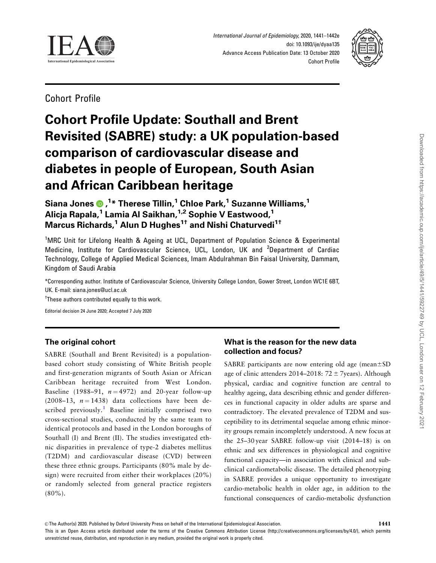<span id="page-0-0"></span>

International Journal of Epidemiology, 2020, 1441–1442e doi: 10.1093/ije/dyaa135 Advance Access Publication Date: 13 October 2020 Cohort Profile



Cohort Profile

# Cohort Profile Update: Southall and Brent Revisited (SABRE) study: a UK population-based comparison of cardiovascular disease and diabetes in people of European, South Asian and African Caribbean heritage

Siana Jones , 1 \* Therese Tillin,1 Chloe Park,1 Suzanne Williams,1 Alicja Rapala,<sup>1</sup> Lamia Al Saikhan,<sup>1,2</sup> Sophie V Eastwood,<sup>1</sup> Marcus Richards,<sup>1</sup> Alun D Hughes<sup>1†</sup> and Nishi Chaturvedi<sup>1†</sup>

<sup>1</sup>MRC Unit for Lifelong Health & Ageing at UCL, Department of Population Science & Experimental Medicine, Institute for Cardiovascular Science, UCL, London, UK and <sup>2</sup>Department of Cardiac Technology, College of Applied Medical Sciences, Imam Abdulrahman Bin Faisal University, Dammam, Kingdom of Saudi Arabia

\*Corresponding author. Institute of Cardiovascular Science, University College London, Gower Street, London WC1E 6BT, UK. E-mail: siana.jones@ucl.ac.uk

<sup>†</sup>These authors contributed equally to this work.

Editorial decision 24 June 2020; Accepted 7 July 2020

# The original cohort

SABRE (Southall and Brent Revisited) is a populationbased cohort study consisting of White British people and first-generation migrants of South Asian or African Caribbean heritage recruited from West London. Baseline (1988–91,  $n = 4972$ ) and 20-year follow-up (2008–13,  $n = 1438$ ) data collections have been de-scribed previously.<sup>[1](#page-5-0)</sup> Baseline initially comprised two cross-sectional studies, conducted by the same team to identical protocols and based in the London boroughs of Southall (I) and Brent (II). The studies investigated ethnic disparities in prevalence of type-2 diabetes mellitus (T2DM) and cardiovascular disease (CVD) between these three ethnic groups. Participants (80% male by design) were recruited from either their workplaces (20%) or randomly selected from general practice registers (80%).

# What is the reason for the new data collection and focus?

SABRE participants are now entering old age (mean $\pm$ SD age of clinic attenders 2014–2018:  $72 \pm 7$ years). Although physical, cardiac and cognitive function are central to healthy ageing, data describing ethnic and gender differences in functional capacity in older adults are sparse and contradictory. The elevated prevalence of T2DM and susceptibility to its detrimental sequelae among ethnic minority groups remain incompletely understood. A new focus at the 25–30 year SABRE follow-up visit (2014–18) is on ethnic and sex differences in physiological and cognitive functional capacity—in association with clinical and subclinical cardiometabolic disease. The detailed phenotyping in SABRE provides a unique opportunity to investigate cardio-metabolic health in older age, in addition to the functional consequences of cardio-metabolic dysfunction

© The Author(s) 2020. Published by Oxford University Press on behalf of the International Epidemiological Association. This is an Open Access article distributed under the terms of the Creative Commons Attribution License (http://creativecommons.org/licenses/by/4.0/), which permits unrestricted reuse, distribution, and reproduction in any medium, provided the original work is properly cited.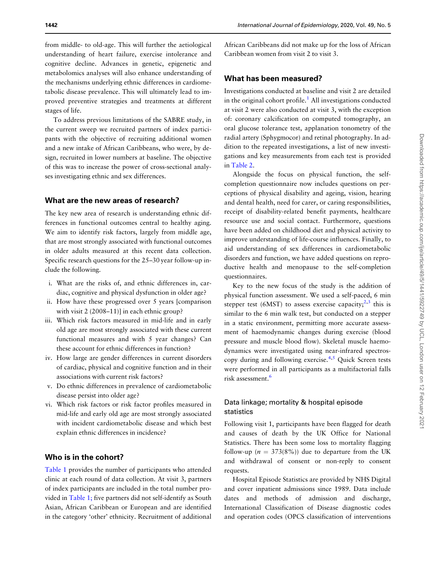<span id="page-1-0"></span>from middle- to old-age. This will further the aetiological understanding of heart failure, exercise intolerance and cognitive decline. Advances in genetic, epigenetic and metabolomics analyses will also enhance understanding of the mechanisms underlying ethnic differences in cardiometabolic disease prevalence. This will ultimately lead to improved preventive strategies and treatments at different stages of life.

To address previous limitations of the SABRE study, in the current sweep we recruited partners of index participants with the objective of recruiting additional women and a new intake of African Caribbeans, who were, by design, recruited in lower numbers at baseline. The objective of this was to increase the power of cross-sectional analyses investigating ethnic and sex differences.

#### What are the new areas of research?

The key new area of research is understanding ethnic differences in functional outcomes central to healthy aging. We aim to identify risk factors, largely from middle age, that are most strongly associated with functional outcomes in older adults measured at this recent data collection. Specific research questions for the 25–30 year follow-up include the following.

- i. What are the risks of, and ethnic differences in, cardiac, cognitive and physical dysfunction in older age?
- ii. How have these progressed over 5 years [comparison with visit 2 (2008–11)] in each ethnic group?
- iii. Which risk factors measured in mid-life and in early old age are most strongly associated with these current functional measures and with 5 year changes? Can these account for ethnic differences in function?
- iv. How large are gender differences in current disorders of cardiac, physical and cognitive function and in their associations with current risk factors?
- v. Do ethnic differences in prevalence of cardiometabolic disease persist into older age?
- vi. Which risk factors or risk factor profiles measured in mid-life and early old age are most strongly associated with incident cardiometabolic disease and which best explain ethnic differences in incidence?

## Who is in the cohort?

[Table 1](#page-2-0) provides the number of participants who attended clinic at each round of data collection. At visit 3, partners of index participants are included in the total number provided in [Table 1;](#page-2-0) five partners did not self-identify as South Asian, African Caribbean or European and are identified in the category 'other' ethnicity. Recruitment of additional

African Caribbeans did not make up for the loss of African Caribbean women from visit 2 to visit 3.

### What has been measured?

Investigations conducted at baseline and visit 2 are detailed in the original cohort profile.<sup>[1](#page-5-0)</sup> All investigations conducted at visit 2 were also conducted at visit 3, with the exception of: coronary calcification on computed tomography, an oral glucose tolerance test, applanation tonometry of the radial artery (Sphygmocor) and retinal photography. In addition to the repeated investigations, a list of new investigations and key measurements from each test is provided in [Table 2](#page-3-0).

Alongside the focus on physical function, the selfcompletion questionnaire now includes questions on perceptions of physical disability and ageing, vision, hearing and dental health, need for carer, or caring responsibilities, receipt of disability-related benefit payments, healthcare resource use and social contact. Furthermore, questions have been added on childhood diet and physical activity to improve understanding of life-course influences. Finally, to aid understanding of sex differences in cardiometabolic disorders and function, we have added questions on reproductive health and menopause to the self-completion questionnaires.

Key to the new focus of the study is the addition of physical function assessment. We used a self-paced, 6 min stepper test (6MST) to assess exercise capacity;<sup>2,3</sup> this is similar to the 6 min walk test, but conducted on a stepper in a static environment, permitting more accurate assessment of haemodynamic changes during exercise (blood pressure and muscle blood flow). Skeletal muscle haemodynamics were investigated using near-infrared spectroscopy during and following exercise. $4,5$  Quick Screen tests were performed in all participants as a multifactorial falls risk assessment.<sup>[6](#page-5-0)</sup>

## Data linkage; mortality & hospital episode statistics

Following visit 1, participants have been flagged for death and causes of death by the UK Office for National Statistics. There has been some loss to mortality flagging follow-up ( $n = 373(8\%)$ ) due to departure from the UK and withdrawal of consent or non-reply to consent requests.

Hospital Episode Statistics are provided by NHS Digital and cover inpatient admissions since 1989. Data include dates and methods of admission and discharge, International Classification of Disease diagnostic codes and operation codes (OPCS classification of interventions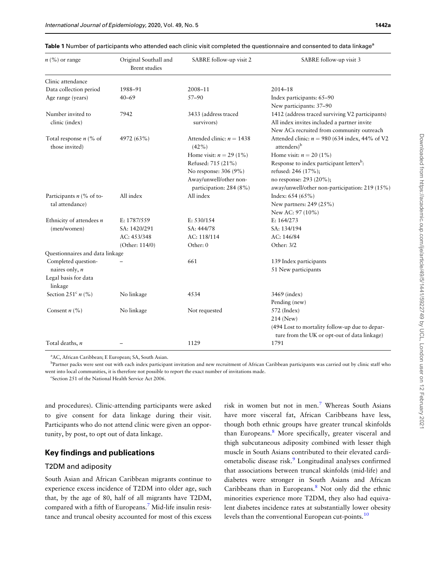<span id="page-2-0"></span>

|  |  |  | <b>Table 1</b> Number of participants who attended each clinic visit completed the questionnaire and consented to data linkage $^{\rm a}$ |  |
|--|--|--|-------------------------------------------------------------------------------------------------------------------------------------------|--|
|  |  |  |                                                                                                                                           |  |

| $n\left(\frac{9}{6}\right)$ or range       | Original Southall and<br><b>Brent</b> studies | SABRE follow-up visit 2              | SABRE follow-up visit 3                                                                                                                     |
|--------------------------------------------|-----------------------------------------------|--------------------------------------|---------------------------------------------------------------------------------------------------------------------------------------------|
| Clinic attendance                          |                                               |                                      |                                                                                                                                             |
| Data collection period                     | 1988-91                                       | 2008-11                              | $2014 - 18$                                                                                                                                 |
| Age range (years)                          | $40 - 69$                                     | $57 - 90$                            | Index participants: 65-90<br>New participants: 37-90                                                                                        |
| Number invited to<br>clinic (index)        | 7942                                          | 3433 (address traced<br>survivors)   | 1412 (address traced surviving V2 participants)<br>All index invites included a partner invite<br>New ACs recruited from community outreach |
| Total response $n$ (% of<br>those invited) | 4972 (63%)                                    | Attended clinic: $n = 1438$<br>(42%) | Attended clinic: $n = 980$ (634 index, 44% of V2<br>attenders) <sup>b</sup>                                                                 |
|                                            |                                               | Home visit: $n = 29 (1\%)$           | Home visit: $n = 20 (1\%)$                                                                                                                  |
|                                            |                                               | Refused: 715 (21%)                   | Response to index participant letters <sup>b</sup> :                                                                                        |
|                                            |                                               | No response: 306 (9%)                | refused: 246 (17%);                                                                                                                         |
|                                            |                                               | Away/unwell/other non-               | no response: 293 (20%);                                                                                                                     |
|                                            |                                               | participation: 284 (8%)              | away/unwell/other non-participation: 219 (15%)                                                                                              |
| Participants $n$ (% of to-                 | All index                                     | All index                            | Index: 654 (65%)                                                                                                                            |
| tal attendance)                            |                                               |                                      | New partners: 249 (25%)                                                                                                                     |
|                                            |                                               |                                      | New AC: 97 (10%)                                                                                                                            |
| Ethnicity of attendees $n$                 | E: 1787/559                                   | E: 530/154                           | E: 164/273                                                                                                                                  |
| (men/women)                                | SA: 1420/291                                  | SA: 444/78                           | SA: 134/194                                                                                                                                 |
|                                            | AC: 453/348                                   | AC: 118/114                          | AC: 146/84                                                                                                                                  |
|                                            | (Other: 114/0)                                | Other: 0                             | Other: 3/2                                                                                                                                  |
| Questionnaires and data linkage            |                                               |                                      |                                                                                                                                             |
| Completed question-                        |                                               | 661                                  | 139 Index participants                                                                                                                      |
| naires only, n                             |                                               |                                      | 51 New participants                                                                                                                         |
| Legal basis for data<br>linkage            |                                               |                                      |                                                                                                                                             |
| Section 251 <sup>c</sup> $n$ (%)           | No linkage                                    | 4534                                 | 3469 (index)                                                                                                                                |
|                                            |                                               |                                      | Pending (new)                                                                                                                               |
| Consent $n$ (%)                            | No linkage                                    | Not requested                        | 572 (Index)                                                                                                                                 |
|                                            |                                               |                                      | 214 (New)                                                                                                                                   |
|                                            |                                               |                                      | (494 Lost to mortality follow-up due to depar-<br>ture from the UK or opt-out of data linkage)                                              |
| Total deaths, n                            |                                               | 1129                                 | 1791                                                                                                                                        |

a AC, African Caribbean; E European; SA, South Asian.

<sup>b</sup>Partner packs were sent out with each index participant invitation and new recruitment of African Caribbean participants was carried out by clinic staff who went into local communities, it is therefore not possible to report the exact number of invitations made.

<sup>c</sup>Section 251 of the National Health Service Act 2006.

and procedures). Clinic-attending participants were asked to give consent for data linkage during their visit. Participants who do not attend clinic were given an opportunity, by post, to opt out of data linkage.

## Key findings and publications

### T2DM and adiposity

South Asian and African Caribbean migrants continue to experience excess incidence of T2DM into older age, such that, by the age of 80, half of all migrants have T2DM, compared with a fifth of Europeans.[7](#page-5-0) Mid-life insulin resistance and truncal obesity accounted for most of this excess risk in women but not in men.<sup>[7](#page-5-0)</sup> Whereas South Asians have more visceral fat, African Caribbeans have less, though both ethnic groups have greater truncal skinfolds than Europeans.<sup>8</sup> More specifically, greater visceral and thigh subcutaneous adiposity combined with lesser thigh muscle in South Asians contributed to their elevated cardi-ometabolic disease risk.<sup>[9](#page-5-0)</sup> Longitudinal analyses confirmed that associations between truncal skinfolds (mid-life) and diabetes were stronger in South Asians and African Caribbeans than in Europeans.<sup>8</sup> Not only did the ethnic minorities experience more T2DM, they also had equivalent diabetes incidence rates at substantially lower obesity levels than the conventional European cut-points.<sup>[10](#page-5-0)</sup>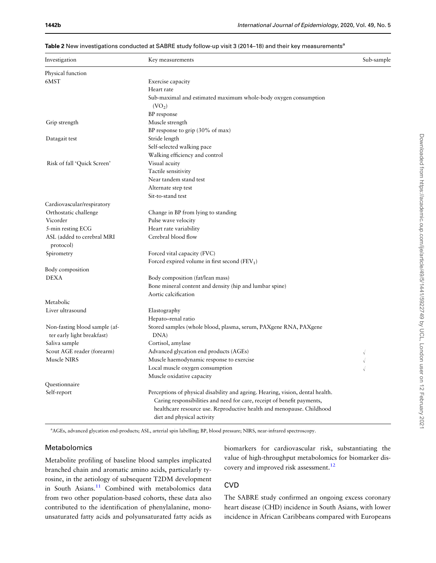| Investigation                     | Key measurements                                                               | Sub-sample |
|-----------------------------------|--------------------------------------------------------------------------------|------------|
| Physical function                 |                                                                                |            |
| 6MST                              | Exercise capacity                                                              |            |
|                                   | Heart rate                                                                     |            |
|                                   | Sub-maximal and estimated maximum whole-body oxygen consumption                |            |
|                                   | (VO <sub>2</sub> )                                                             |            |
|                                   | BP response                                                                    |            |
| Grip strength                     | Muscle strength                                                                |            |
|                                   | BP response to grip (30% of max)                                               |            |
| Datagait test                     | Stride length                                                                  |            |
|                                   | Self-selected walking pace                                                     |            |
|                                   | Walking efficiency and control                                                 |            |
| Risk of fall 'Quick Screen'       | Visual acuity                                                                  |            |
|                                   | Tactile sensitivity                                                            |            |
|                                   | Near tandem stand test                                                         |            |
|                                   | Alternate step test                                                            |            |
|                                   | Sit-to-stand test                                                              |            |
|                                   |                                                                                |            |
| Cardiovascular/respiratory        |                                                                                |            |
| Orthostatic challenge<br>Vicorder | Change in BP from lying to standing                                            |            |
|                                   | Pulse wave velocity                                                            |            |
| 5-min resting ECG                 | Heart rate variability                                                         |            |
| ASL (added to cerebral MRI        | Cerebral blood flow                                                            |            |
| protocol)                         |                                                                                |            |
| Spirometry                        | Forced vital capacity (FVC)                                                    |            |
|                                   | Forced expired volume in first second (FEV <sub>1</sub> )                      |            |
| Body composition                  |                                                                                |            |
| <b>DEXA</b>                       | Body composition (fat/lean mass)                                               |            |
|                                   | Bone mineral content and density (hip and lumbar spine)                        |            |
|                                   | Aortic calcification                                                           |            |
| Metabolic                         |                                                                                |            |
| Liver ultrasound                  | Elastography                                                                   |            |
|                                   | Hepato-renal ratio                                                             |            |
| Non-fasting blood sample (af-     | Stored samples (whole blood, plasma, serum, PAXgene RNA, PAXgene               |            |
| ter early light breakfast)        | DNA)                                                                           |            |
| Saliva sample                     | Cortisol, amylase                                                              |            |
| Scout AGE reader (forearm)        | Advanced glycation end products (AGEs)                                         | $\sqrt{ }$ |
| Muscle NIRS                       | Muscle haemodynamic response to exercise                                       | $\sqrt{ }$ |
|                                   | Local muscle oxygen consumption                                                |            |
|                                   | Muscle oxidative capacity                                                      |            |
| Questionnaire                     |                                                                                |            |
| Self-report                       | Perceptions of physical disability and ageing. Hearing, vision, dental health. |            |
|                                   | Caring responsibilities and need for care, receipt of benefit payments,        |            |
|                                   | healthcare resource use. Reproductive health and menopause. Childhood          |            |
|                                   | diet and physical activity                                                     |            |

<span id="page-3-0"></span>Table 2 New investigations conducted at SABRE study follow-up visit 3 (2014–18) and their key measurements<sup>a</sup>

a AGEs, advanced glycation end-products; ASL, arterial spin labelling; BP, blood pressure; NIRS, near-infrared spectroscopy.

## Metabolomics

Metabolite profiling of baseline blood samples implicated branched chain and aromatic amino acids, particularly tyrosine, in the aetiology of subsequent T2DM development in South Asians.<sup>11</sup> Combined with metabolomics data from two other population-based cohorts, these data also contributed to the identification of phenylalanine, monounsaturated fatty acids and polyunsaturated fatty acids as biomarkers for cardiovascular risk, substantiating the value of high-throughput metabolomics for biomarker dis-covery and improved risk assessment.<sup>[12](#page-5-0)</sup>

## **CVD**

The SABRE study confirmed an ongoing excess coronary heart disease (CHD) incidence in South Asians, with lower incidence in African Caribbeans compared with Europeans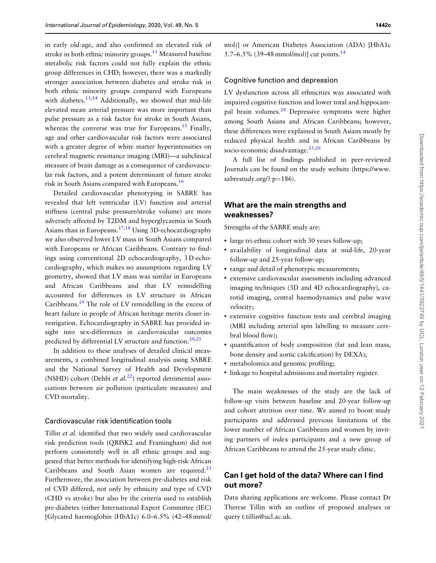<span id="page-4-0"></span>in early old-age, and also confirmed an elevated risk of stroke in both ethnic minority groups.<sup>[13](#page-5-0)</sup> Measured baseline metabolic risk factors could not fully explain the ethnic group differences in CHD; however, there was a markedly stronger association between diabetes and stroke risk in both ethnic minority groups compared with Europeans with diabetes. $13,14$  Additionally, we showed that mid-life elevated mean arterial pressure was more important than pulse pressure as a risk factor for stroke in South Asians, whereas the converse was true for Europeans.<sup>15</sup> Finally, age and other cardiovascular risk factors were associated with a greater degree of white matter hyperintensities on cerebral magnetic resonance imaging (MRI)—a subclinical measure of brain damage as a consequence of cardiovascular risk factors, and a potent determinant of future stroke risk in South Asians compared with Europeans.[16](#page-6-0)

Detailed cardiovascular phenotyping in SABRE has revealed that left ventricular (LV) function and arterial stiffness (central pulse pressure/stroke volume) are more adversely affected by T2DM and hyperglycaemia in South Asians than in Europeans.<sup>17,18</sup> Using 3D-echocardiography we also observed lower LV mass in South Asians compared with Europeans or African Caribbeans. Contrary to findings using conventional 2D echocardiography, 3 D-echocardiography, which makes no assumptions regarding LV geometry, showed that LV mass was similar in Europeans and African Caribbeans and that LV remodelling accounted for differences in LV structure in African Caribbeans.[19](#page-6-0) The role of LV remodelling in the excess of heart failure in people of African heritage merits closer investigation. Echocardiography in SABRE has provided insight into sex-differences in cardiovascular outcomes predicted by differential LV structure and function. $20,21$ 

In addition to these analyses of detailed clinical measurements, a combined longitudinal analysis using SABRE and the National Survey of Health and Development (NSHD) cohort (Dehbi et al.<sup>[22](#page-6-0)</sup>) reported detrimental associations between air pollution (particulate measures) and CVD mortality.

### Cardiovascular risk identification tools

Tillin et al. identified that two widely used cardiovascular risk prediction tools (QRISK2 and Framingham) did not perform consistently well in all ethnic groups and suggested that better methods for identifying high-risk African Caribbeans and South Asian women are required. $23$ Furthermore, the association between pre-diabetes and risk of CVD differed, not only by ethnicity and type of CVD (CHD vs stroke) but also by the criteria used to establish pre-diabetes (either International Expert Committee (IEC) [Glycated haemoglobin (HbA1c) 6.0–6.5% (42–48 mmol/ mol)] or American Diabetes Association (ADA) [HbA1c 5.7–6.5% (39–48 mmol/mol)] cut points.<sup>[14](#page-5-0)</sup>

#### Cognitive function and depression

LV dysfunction across all ethnicities was associated with impaired cognitive function and lower total and hippocampal brain volumes[.24](#page-6-0) Depressive symptoms were higher among South Asians and African Caribbeans; however, these differences were explained in South Asians mostly by reduced physical health and in African Caribbeans by socio-economic disadvantage. $25,26$ 

A full list of findings published in peer-reviewed Journals can be found on the study website [\(https://www.](https://www.sabrestudy.org/? p=186) sabrestudy.org/?  $p=186$  $p=186$ ).

## What are the main strengths and weaknesses?

Strengths of the SABRE study are:

- large tri-ethnic cohort with 30 years follow-up;
- availability of longitudinal data at mid-life, 20-year follow-up and 25-year follow-up;
- range and detail of phenotypic measurements;
- extensive cardiovascular assessments including advanced imaging techniques (3D and 4D echocardiography), carotid imaging, central haemodynamics and pulse wave velocity;
- extensive cognitive function tests and cerebral imaging (MRI including arterial spin labelling to measure cerebral blood flow);
- quantification of body composition (fat and lean mass, bone density and aortic calcification) by DEXA);
- metabolomics and genomic profiling;
- linkage to hospital admissions and mortality register.

The main weaknesses of the study are the lack of follow-up visits between baseline and 20-year follow-up and cohort attrition over time. We aimed to boost study participants and addressed previous limitations of the lower number of African Caribbeans and women by inviting partners of index participants and a new group of African Caribbeans to attend the 25-year study clinic.

## Can I get hold of the data? Where can I find out more?

Data sharing applications are welcome. Please contact Dr Therese Tillin with an outline of proposed analyses or query t.tillin@ucl.ac.uk.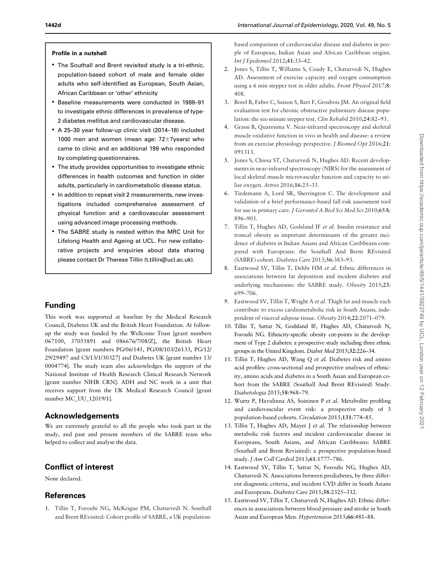#### <span id="page-5-0"></span>Profile in a nutshell

- The Southall and Brent revisited study is a tri-ethnic, population-based cohort of male and female older adults who self-identified as European, South Asian, African Caribbean or 'other' ethnicity
- Baseline measurements were conducted in 1988–91 to investigate ethnic differences in prevalence of type-2 diabetes mellitus and cardiovascular disease.
- A 25–30 year follow-up clinic visit (2014–18) included 1000 men and women (mean age:  $72\pm7$ years) who came to clinic and an additional 199 who responded by completing questionnaires.
- The study provides opportunities to investigate ethnic differences in health outcomes and function in older adults, particularly in cardiometabolic disease status.
- In addition to repeat visit 2 measurements, new investigations included comprehensive assessment of physical function and a cardiovascular assessment using advanced image processing methods.
- The SABRE study is nested within the MRC Unit for Lifelong Health and Ageing at UCL. For new collaborative projects and enquiries about data sharing please contact Dr Therese Tillin (t.tillin@ucl.ac.uk).

# Funding

This work was supported at baseline by the Medical Research Council, Diabetes UK and the British Heart Foundation. At followup the study was funded by the Wellcome Trust [grant numbers 067100, 37055891 and 086676/7/08/Z], the British Heart Foundation [grant numbers PG/06/145, PG/08/103/26133, PG/12/ 29/29497 and CS/13/1/30327] and Diabetes UK [grant number 13/ 0004774]. The study team also acknowledges the support of the National Institute of Health Research Clinical Research Network [grant number NIHR CRN]. ADH and NC work in a unit that receives support from the UK Medical Research Council [grant number MC\_UU\_12019/1].

## Acknowledgements

We are extremely grateful to all the people who took part in the study, and past and present members of the SABRE team who helped to collect and analyse the data.

# Conflict of interest

None declared.

# References

[1.](#page-0-0) Tillin T, Forouhi NG, McKeigue PM, Chaturvedi N. Southall and Brent REvisited: Cohort profile of SABRE, a UK populationbased comparison of cardiovascular disease and diabetes in people of European, Indian Asian and African Caribbean origins. Int J Epidemiol 2012;41:33–42.

- [2.](#page-1-0) Jones S, Tillin T, Williams S, Coady E, Chaturvedi N, Hughes AD. Assessment of exercise capacity and oxygen consumption using a 6 min stepper test in older adults. Front Physiol 2017;8: 408.
- [3.](#page-1-0) Borel B, Fabre C, Saison S, Bart F, Grosbois JM. An original field evaluation test for chronic obstructive pulmonary disease population: the six-minute stepper test. Clin Rehabil 2010;24:82–93.
- [4.](#page-1-0) Grassi B, Quaresima V. Near-infrared spectroscopy and skeletal muscle oxidative function in vivo in health and disease: a review from an exercise physiology perspective. J Biomed Opt 2016;21: 091313.
- [5.](#page-1-0) Jones S, Chiesa ST, Chaturvedi N, Hughes AD. Recent developments in near-infrared spectroscopy (NIRS) for the assessment of local skeletal muscle microvascular function and capacity to utilise oxygen. Artres 2016;16:25–33.
- [6.](#page-1-0) Tiedemann A, Lord SR, Sherrington C. The development and validation of a brief performance-based fall risk assessment tool for use in primary care. J Gerontol A Biol Sci Med Sci 2010;65A: 896–903.
- [7.](#page-2-0) Tillin T, Hughes AD, Godsland IF et al. Insulin resistance and truncal obesity as important determinants of the greater incidence of diabetes in Indian Asians and African Caribbeans compared with Europeans: the Southall And Brent REvisited (SABRE) cohort. Diabetes Care 2013;36:383–93.
- [8.](#page-2-0) Eastwood SV, Tillin T, Dehbi HM et al. Ethnic differences in associations between fat deposition and incident diabetes and underlying mechanisms: the SABRE study. Obesity 2015;23: 699–706.
- [9.](#page-2-0) Eastwood SV, Tillin T, Wright A et al. Thigh fat and muscle each contribute to excess cardiometabolic risk in South Asians, independent of visceral adipose tissue. Obesity 2014;22:2071–079.
- [10.](#page-2-0) Tillin T, Sattar N, Godsland IF, Hughes AD, Chaturvedi N, Forouhi NG. Ethnicity-specific obesity cut-points in the development of Type 2 diabetes: a prospective study including three ethnic groups in the United Kingdom. Diabet Med 2015;32:226–34.
- [11.](#page-3-0) Tillin T, Hughes AD, Wang Q et al. Diabetes risk and amino acid profiles: cross-sectional and prospective analyses of ethnicity, amino acids and diabetes in a South Asian and European cohort from the SABRE (Southall And Brent REvisited) Study. Diabetologia 2015;58:968–79.
- [12.](#page-3-0) Wurtz P, Havulinna AS, Soininen P et al. Metabolite profiling and cardiovascular event risk: a prospective study of 3 population-based cohorts. Circulation 2015;131:774–85.
- [13.](#page-4-0) Tillin T, Hughes AD, Mayet J et al. The relationship between metabolic risk factors and incident cardiovascular disease in Europeans, South Asians, and African Caribbeans: SABRE (Southall and Brent Revisited): a prospective population-based study. J Am Coll Cardiol 2013;61:1777–786.
- [14.](#page-4-0) Eastwood SV, Tillin T, Sattar N, Forouhi NG, Hughes AD, Chaturvedi N. Associations between prediabetes, by three different diagnostic criteria, and incident CVD differ in South Asians and Europeans. Diabetes Care 2015;38:2325–332.
- [15.](#page-4-0) Eastwood SV, Tillin T, Chaturvedi N, Hughes AD. Ethnic differences in associations between blood pressure and stroke in South Asian and European Men. Hypertension 2015;66:481–88.